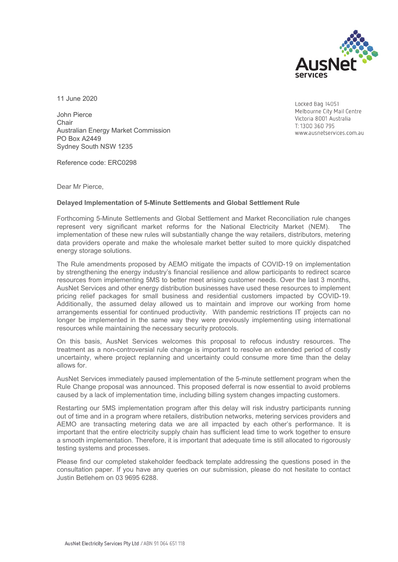

Locked Bag 14051

Melbourne City Mail Centre Victoria 8001 Australia T: 1300 360 795

www.ausnetservices.com.au

11 June 2020

John Pierce Chair Australian Energy Market Commission PO Box A2449 Sydney South NSW 1235

Reference code: ERC0298

Dear Mr Pierce,

#### **Delayed Implementation of 5-Minute Settlements and Global Settlement Rule**

Forthcoming 5-Minute Settlements and Global Settlement and Market Reconciliation rule changes represent very significant market reforms for the National Electricity Market (NEM). The implementation of these new rules will substantially change the way retailers, distributors, metering data providers operate and make the wholesale market better suited to more quickly dispatched energy storage solutions.

The Rule amendments proposed by AEMO mitigate the impacts of COVID-19 on implementation by strengthening the energy industry's financial resilience and allow participants to redirect scarce resources from implementing 5MS to better meet arising customer needs. Over the last 3 months, AusNet Services and other energy distribution businesses have used these resources to implement pricing relief packages for small business and residential customers impacted by COVID-19. Additionally, the assumed delay allowed us to maintain and improve our working from home arrangements essential for continued productivity. With pandemic restrictions IT projects can no longer be implemented in the same way they were previously implementing using international resources while maintaining the necessary security protocols.

On this basis, AusNet Services welcomes this proposal to refocus industry resources. The treatment as a non-controversial rule change is important to resolve an extended period of costly uncertainty, where project replanning and uncertainty could consume more time than the delay allows for.

AusNet Services immediately paused implementation of the 5-minute settlement program when the Rule Change proposal was announced. This proposed deferral is now essential to avoid problems caused by a lack of implementation time, including billing system changes impacting customers.

Restarting our 5MS implementation program after this delay will risk industry participants running out of time and in a program where retailers, distribution networks, metering services providers and AEMO are transacting metering data we are all impacted by each other's performance. It is important that the entire electricity supply chain has sufficient lead time to work together to ensure a smooth implementation. Therefore, it is important that adequate time is still allocated to rigorously testing systems and processes.

Please find our completed stakeholder feedback template addressing the questions posed in the consultation paper. If you have any queries on our submission, please do not hesitate to contact Justin Betlehem on 03 9695 6288.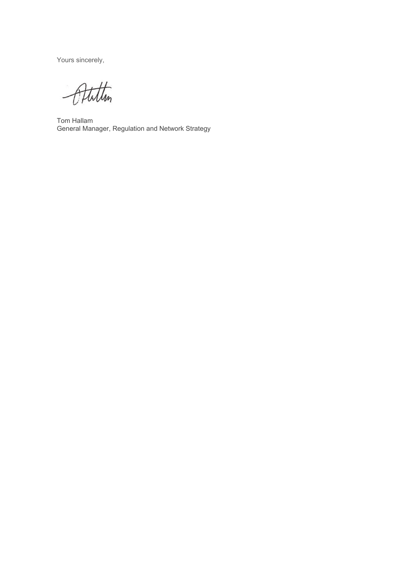Yours sincerely,

Atiltim

Tom Hallam General Manager, Regulation and Network Strategy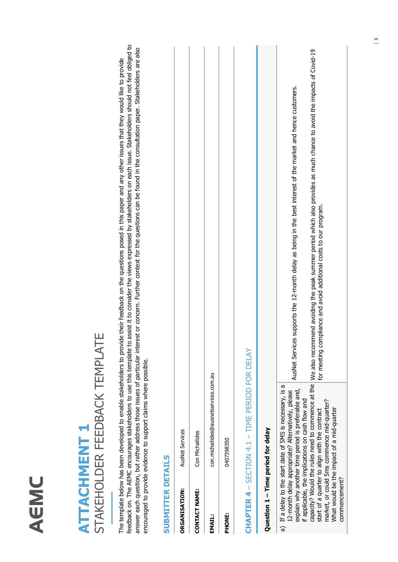### AEMC

#### STAKEHOLDER FEEDBACK TEMPLATE STAKEHOLDER FEEDBACK TEMPLATE **ATTACHMENT 1 ATTACHMENT 1**

feedback on. The AEMC encourages stakeholders to use this template to assist it to consider the views expressed by stakeholders on each issue. Stakeholders should not feel obliged to feedback on. The AEMC encourages stakeholders to use this template to assist it to consider the views expressed by stakeholders on each issue. Stakeholders should not feel obliged to answer each question, but rather address those issues of particular interest or concern. Further context for the questions can be found in the consultation paper. Stakeholders are also answer each question, but rather address those issues of particular interest or concern. Further context for the questions can be found in the consultation paper. Stakeholders are also The template below has been developed to enable stakeholders to provide their feedback on the questions posed in this paper and any other issues that they would like to provide The template below has been developed to enable stakeholders to provide their feedback on the questions posed in this paper and any other issues that they would like to provide encouraged to provide evidence to support claims where possible. encouraged to provide evidence to support claims where possible.

#### **SUBMITTER DETAILS SUBMITTER DETAILS**

| <b>ORGANISATION:</b>               | <b>AusNet Services</b>                                                                                                                                                                                                   |                                                                                                                                                                                                                                               |
|------------------------------------|--------------------------------------------------------------------------------------------------------------------------------------------------------------------------------------------------------------------------|-----------------------------------------------------------------------------------------------------------------------------------------------------------------------------------------------------------------------------------------------|
| CONTACT NAME:                      | Con Michailides                                                                                                                                                                                                          |                                                                                                                                                                                                                                               |
| <b>EMAIL:</b>                      | con.michailides@ausnetservices.com.au                                                                                                                                                                                    |                                                                                                                                                                                                                                               |
| PHONE:                             | 0407398350                                                                                                                                                                                                               |                                                                                                                                                                                                                                               |
|                                    | CHAPTER 4 - SECTION 4.1 - TIME PERIOD FOR DELAY                                                                                                                                                                          |                                                                                                                                                                                                                                               |
| Question 1 - Time period for delay |                                                                                                                                                                                                                          |                                                                                                                                                                                                                                               |
|                                    | a) If a delay to the start date of 5MS is necessary, is a<br>explain why another time period is preferable and,<br>12-month delay appropriate? Alternatively, please<br>if applicable, the implications on cash flow and | AusNet Services supports the 12-month delay as being in the best interest of the market and hence customers.                                                                                                                                  |
|                                    | market, or could 5ms commence mid-quarter?<br>start of a quarter to align with the contract                                                                                                                              | capacity? Would the rules need to commence at the  We also recommend avoiding the peak summer period which also provides as much chance to avoid the impacts of Covid-19<br>for meeting compliance and avoid additional costs to our program. |

What would be the impact of a mid-quarter

What would be the impact of a mid-quarter

commencement?

commencement?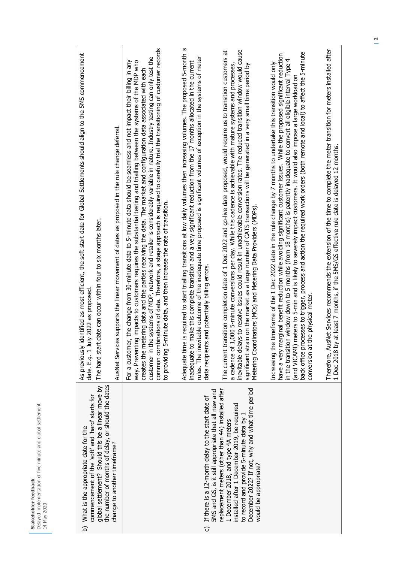| the number of months of delay, or should the dates<br>global settlement? Should this be a linear move by<br>commencement of the 'soft' and 'hard' starts for<br>b) What is the appropriate date for the                                                           | identified as most efficient, the soft start date for Global Settlements should align to the 5MS commencement<br>date can occur within four to six months later.<br>date. E.g. 1 July 2022 as proposed<br>The hard start<br>As previously                                                                                                                                                                                                                                                                                                                                                                                                                                                                         |
|-------------------------------------------------------------------------------------------------------------------------------------------------------------------------------------------------------------------------------------------------------------------|-------------------------------------------------------------------------------------------------------------------------------------------------------------------------------------------------------------------------------------------------------------------------------------------------------------------------------------------------------------------------------------------------------------------------------------------------------------------------------------------------------------------------------------------------------------------------------------------------------------------------------------------------------------------------------------------------------------------|
| change to another timeframe?                                                                                                                                                                                                                                      | es supports the linear movement of dates as proposed in the rule change deferral<br>AusNet Servic                                                                                                                                                                                                                                                                                                                                                                                                                                                                                                                                                                                                                 |
|                                                                                                                                                                                                                                                                   | common combinations of data. Therefore, a stage approach is required to carefully trial the transitioning of customer records<br>customer in the systems of MDP, network and retailer is considerably variable in nature. Industry testing can only test the<br>way. Preventing impacts to customers requires the substantial testing and trialling between the systems of the MDP who<br>For a customer, the change from 30-minute data to 5-minute data should be seamless and not impact their billing in any<br>creates the metering data and the parties receiving the data. The market and configuration data associated with each<br>to providing 5-minute data, and then increase the rate of transition. |
| 5MS and GS, is it still appropriate that all new and<br>c) If there is a 12-month delay to the start date of                                                                                                                                                      | Adequate time is required to start trialling transitions at low daily volumes then increasing volumes. The proposed 5-month is<br>rules. The inevitable outcome of the inadequate time proposed is significant volumes of exception in the systems of meter<br>inadequate to make this complete transition and a very significant reduction from the 17 months allocated in the current<br>data recipients and potentially billing errors.                                                                                                                                                                                                                                                                        |
| December 2022? If not, why and what time period<br>replacement meters (other than 4A) installed after<br>installed after 1 December 2019, be required<br>to record and provide 5-minute data by 1<br>1 December 2018, and type 4A meters<br>would be appropriate? | inevitable delays to resolve issues could result in unachievable conversion rates. The reduced transition window would cause<br>The current transition completion date of 1 Dec 2022 and go-live date proposed, would require us to transition customers at<br>1,000 5-minute conversions per day. While this cadence is achievable with mature systems and processes,<br>significant strain on the market as a large number of CATS transactions will be generated in a very small time period by<br>Metering Coordinators (MCs) and Metering Data Providers (MDPs)<br>a cadence of                                                                                                                              |
|                                                                                                                                                                                                                                                                   | back office processes to trigger, process and action the required work orders (both remote and local) to affect the 5-minute<br>rarginal benefit reduction while avoiding significant customer issues. While the proposed significant reduction<br>in the transition window down to 5 months (from 18 months) is patently inadequate to convert all eligible interval Type 4<br>Increasing the timeframe of the 1 Dec 2022 date in the rule change by 7 months to undertake this transition would only<br>meters to 5-min and is likely to severely impact customers. It would also impose a large workload on<br>the physical meter<br>have a very m<br>(and VICAMI)<br>conversion at                            |
|                                                                                                                                                                                                                                                                   | Therefore, AusNet Services recommends the extension of the time to complete the meter transition for meters installed after<br>1 Dec 2018 by at least 7 months, if the 5MS/GS effective rule date is delayed 12 months.                                                                                                                                                                                                                                                                                                                                                                                                                                                                                           |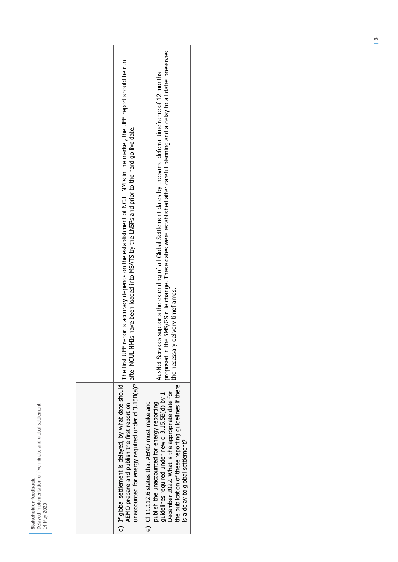| 14 May 2020 | Delayed implementation of five minute and global settleme<br>Stakeholder feedbad |  |
|-------------|----------------------------------------------------------------------------------|--|
|             |                                                                                  |  |

| report's accuracy depends on the establishment of NCUL NMIs in the market, the UFE report should be run<br>after NCUL NMIs have been loaded into MSATS by the LNSPs and prior to the hard go live date.<br>The first UFE | the 5MS/GS rule change. These dates were established after careful planning and a delay to all dates preserves<br>AusNet Services supports the extending of all Global Settlement dates by the same deferral timeframe of 12 months<br>the necessary delivery timeframes.<br>proposed in t         |  |
|--------------------------------------------------------------------------------------------------------------------------------------------------------------------------------------------------------------------------|----------------------------------------------------------------------------------------------------------------------------------------------------------------------------------------------------------------------------------------------------------------------------------------------------|--|
| unaccounted for energy required under cl 3.15B(a)?<br>d) If global settlement is delayed, by what date should<br>AEMO prepare and publish the first report on                                                            | the publication of these reporting guidelines if there<br>December 2022. What is the appropriate date for<br>guidelines required under new cl 3.15.5B(d) by 1<br>e) Cl 11.112.6 states that AEMO must make and<br>publish the unaccounted for energy reporting<br>is a delay to global settlement? |  |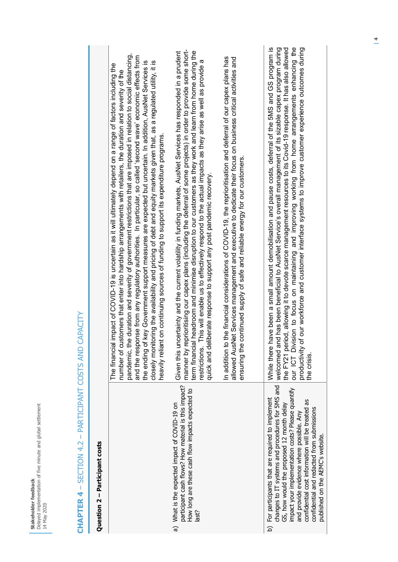| Question 2 - Participant costs                                                                                                                                                                                                                                                                                                                                                                      |                                                                                                                                                                                                                                                                                                                                                                                                                                                                                                                                                                                                                                                                                                                                                                                                           |
|-----------------------------------------------------------------------------------------------------------------------------------------------------------------------------------------------------------------------------------------------------------------------------------------------------------------------------------------------------------------------------------------------------|-----------------------------------------------------------------------------------------------------------------------------------------------------------------------------------------------------------------------------------------------------------------------------------------------------------------------------------------------------------------------------------------------------------------------------------------------------------------------------------------------------------------------------------------------------------------------------------------------------------------------------------------------------------------------------------------------------------------------------------------------------------------------------------------------------------|
|                                                                                                                                                                                                                                                                                                                                                                                                     | e duration and severity of government restrictions that are imposed in relation to social distancing,<br>and the response from any regulatory authorities. In particular, so called 'second wave' economic effects from<br>the ending of key Government support measures are expected but uncertain. In addition, AusNet Services is<br>closely monitoring the availability and pricing of debt and equity markets given that, as a regulated utility, it is<br>l impact of COVID-19 is uncertain as it will ultimately depend on a range of factors including the<br>number of customers that enter into hardship arrangements with retailers, the duration and severity of the<br>heavily reliant on continuing sources of funding to support its expenditure programs<br>The financial<br>pandemic, th |
| participant cash flows? How material is this impact?<br>How long are these cash flow impacts expected to<br>a) What is the expected impact of COVID-19 on<br>last?                                                                                                                                                                                                                                  | manner by reprioritising our capex plans (including the deferral of some projects) in order to provide some short-<br>term financial headroom and minimise disruption to our customers as they work and learn from home during the<br>Given this uncertainty and the current volatility in funding markets, AusNet Services has responded in a prudent<br>This will enable us to effectively respond to the actual impacts as they arise as well as provide a<br>quick and deliberate response to support any post pandemic recovery.<br>restrictions.                                                                                                                                                                                                                                                    |
|                                                                                                                                                                                                                                                                                                                                                                                                     | In addition to the financial considerations of COVID-19, the reprioritisation and deferral of our capex plans has<br>allowed AusNet Services management and executive to dedicate their focus on business critical activities and<br>continued supply of safe and reliable energy for our customers.<br>ensuring the                                                                                                                                                                                                                                                                                                                                                                                                                                                                                      |
| changes to IT systems and procedures for 5MS and<br>impact your implementation costs? Please quantify<br>For participants that are required to implement<br>confidential cost information will be treated as<br>GS, how would the proposed 12 month delay<br>confidential and redacted from submissions<br>and provide evidence where possible. Any<br>published on the AEMC's website.<br><u>ର</u> | the FY21 period, allowing it to devote scarce management resources to its Covid-19 response. It has also allowed<br>our ICT Division to focus on maintaining and improving working from home arrangements enhancing the<br>have been a small amount demobilisation and pause costs, deferral of the 5MS and GS program is<br>welcomed and has been beneficial to AusNet Service's overall management of its sizable capex program during<br>of our workforce and customer interface systems to improve customer experience outcomes during<br>While there<br>productivity<br>the crisis.                                                                                                                                                                                                                  |
|                                                                                                                                                                                                                                                                                                                                                                                                     |                                                                                                                                                                                                                                                                                                                                                                                                                                                                                                                                                                                                                                                                                                                                                                                                           |

## CHAPTER 4 - SECTION 4.2 - PARTICIPANT COSTS AND CAPACITY **CHAPTER 4** – SECTION 4.2 – PARTICIPANT COSTS AND CAPACITY

**Stakeholder feedback** 

14 May 2020

Delayed implementation of five minute and global settlement

Stakeholder feedback<br>Delayed implementation of five minute and global settlement<br>14 May 2020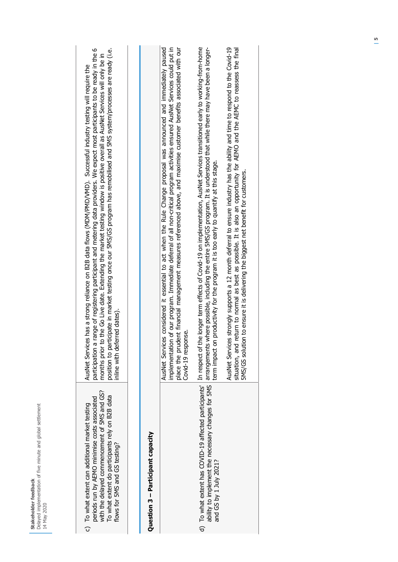| 6d             | Delayed implementation of five minute and global settleme |                  |
|----------------|-----------------------------------------------------------|------------------|
| akeholder feed |                                                           | N 2020<br>π<br>Σ |

| AusNet Services has a strong reliance on B2B data flows (MDM/PMD/VMD). Successful industry testing will require the | participation a range of registering participant and metering data providers. We expect most participants to be ready in the 6 | to the Go Live date. Extending the market testing window is positive overall as AusNet Services will only be in<br>months prior | position to participate in market testing once our 5MS/GS program has remobilised and 5MS system/processes are ready (i.e. | inline with deferred dates).  |  |
|---------------------------------------------------------------------------------------------------------------------|--------------------------------------------------------------------------------------------------------------------------------|---------------------------------------------------------------------------------------------------------------------------------|----------------------------------------------------------------------------------------------------------------------------|-------------------------------|--|
| c) To what extent can additional market testing                                                                     | periods run by AEMO minimise costs associated                                                                                  | with the delayed commencement of 5MS and GS?                                                                                    | To what extent do participants rely on B2B data                                                                            | flows for 5MS and GS testing? |  |

#### Question 3 - Participant capacity **Question 3 – Participant capacity**

| AusNet Services considered it essential to act when the Rule Change proposal was announced and immediately paused<br>mplementation of our program. Immediate deferral of all non-critical program activities ensured AusNet Services could put in<br>place the prudent financial management measures referenced above, and maximise customer benefits associated with our<br>Covid-19 response. | ability to implement the necessary changes for 5MS   arrangements where possible, including the entire 5MS/GS program. It is understood that while there may have been a longer-<br>d) To what extent has COVID-19 affected participants' In respect of the longer term effects of Covid-19 on implementation, AusNet Services transitioned early to working-from-home<br>term impact on productivity for the program it is too early to quantify at this stage. | AusNet Services strongly supports a 12 month deferral to ensure industry has the ability and time to respond to the Covid-19<br>situation, and return to normal as best as possible. It is also an opportunity for AEMO and the AEMC to reassess the final<br>MS/GS solution to ensure it is delivering the biggest net benefit for customers. |
|-------------------------------------------------------------------------------------------------------------------------------------------------------------------------------------------------------------------------------------------------------------------------------------------------------------------------------------------------------------------------------------------------|------------------------------------------------------------------------------------------------------------------------------------------------------------------------------------------------------------------------------------------------------------------------------------------------------------------------------------------------------------------------------------------------------------------------------------------------------------------|------------------------------------------------------------------------------------------------------------------------------------------------------------------------------------------------------------------------------------------------------------------------------------------------------------------------------------------------|
|                                                                                                                                                                                                                                                                                                                                                                                                 | and GS by 1 July 2021?                                                                                                                                                                                                                                                                                                                                                                                                                                           |                                                                                                                                                                                                                                                                                                                                                |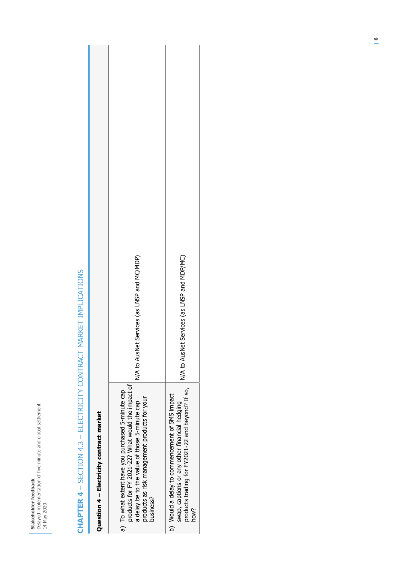## **CHAPTER 4** - SECTION 4.3 - ELECTRICITY CONTRACT MARKET IMPLICATIONS **CHAPTER 4** – SECTION 4.3 – ELECTRICITY CONTRACT MARKET IMPLICATIONS

L

| Question 4 - Electricity contract market                                                                                                                                                                              |                                             |
|-----------------------------------------------------------------------------------------------------------------------------------------------------------------------------------------------------------------------|---------------------------------------------|
| products for FY 2021-22? What would the impact of<br>a) To what extent have you purchased 5-minute cap<br>products as risk management products for your<br>a delay be to the value of those 5-minute cap<br>business? | N/A to AusNet Services (as LNSP and MC/MDP) |
| products trading for FY2021-22 and beyond? If so,<br>b) Would a delay to commencement of 5MS impact<br>swap, captions or any other financial hedging<br>how?                                                          | N/A to AusNet Services (as LNSP and MDP/MC) |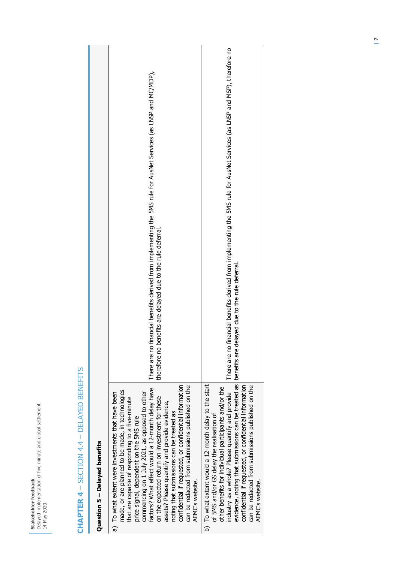| Question 5 - Delayed benefits                                                                                                                                                                                                                                                                                                                                                                                                                                                                                                                                                               |                                                                                                                                                                                          |
|---------------------------------------------------------------------------------------------------------------------------------------------------------------------------------------------------------------------------------------------------------------------------------------------------------------------------------------------------------------------------------------------------------------------------------------------------------------------------------------------------------------------------------------------------------------------------------------------|------------------------------------------------------------------------------------------------------------------------------------------------------------------------------------------|
| confidential if requested, or confidential information<br>can be redacted from submissions published on the<br>factors? What effect would a 12-month delay have<br>made, or are planned to be made, in technologies<br>a) To what extent were investments that have been<br>commencing on 1 July 2021, as opposed to other<br>on the expected return on investment for these<br>that are capable of responding to a five-minute<br>assets? Please quantify and provide evidence,<br>noting that submissions can be treated as<br>price signal, dependent on the 5MS rule<br>AEMC's website. | financial benefits derived from implementing the SMS rule for AusNet Services (as LNSP and MC/MDP),<br>enefits are delayed due to the rule deferral.<br>therefore no b<br>There are no t |
| evidence, noting that submissions can be treated as<br>b) To what extent would a 12-month delay to the start<br>confidential if requested, or confidential information<br>can be redacted from submissions published on the<br>other benefits for individual participants and/or the<br>industry as a whole? Please quantify and provide<br>of 5MS and/or GS delay the realisation of<br>AEMC's website.                                                                                                                                                                                    | financial benefits derived from implementing the 5MS rule for AusNet Services (as LNSP and MSP), therefore no<br>benefits are delayed due to the rule deferral.<br>There are no t        |
|                                                                                                                                                                                                                                                                                                                                                                                                                                                                                                                                                                                             |                                                                                                                                                                                          |

## CHAPTER 4 - SECTION 4.4 - DELAYED BENEFITS **CHAPTER 4** – SECTION 4.4 – DELAYED BENEFITS

**Stakeholder feedback** 

14 May 2020

Delayed implementation of five minute and global settlement

Stakeholder feedback<br>Delayed implementation of five minute and global settlement<br>14 May 2020